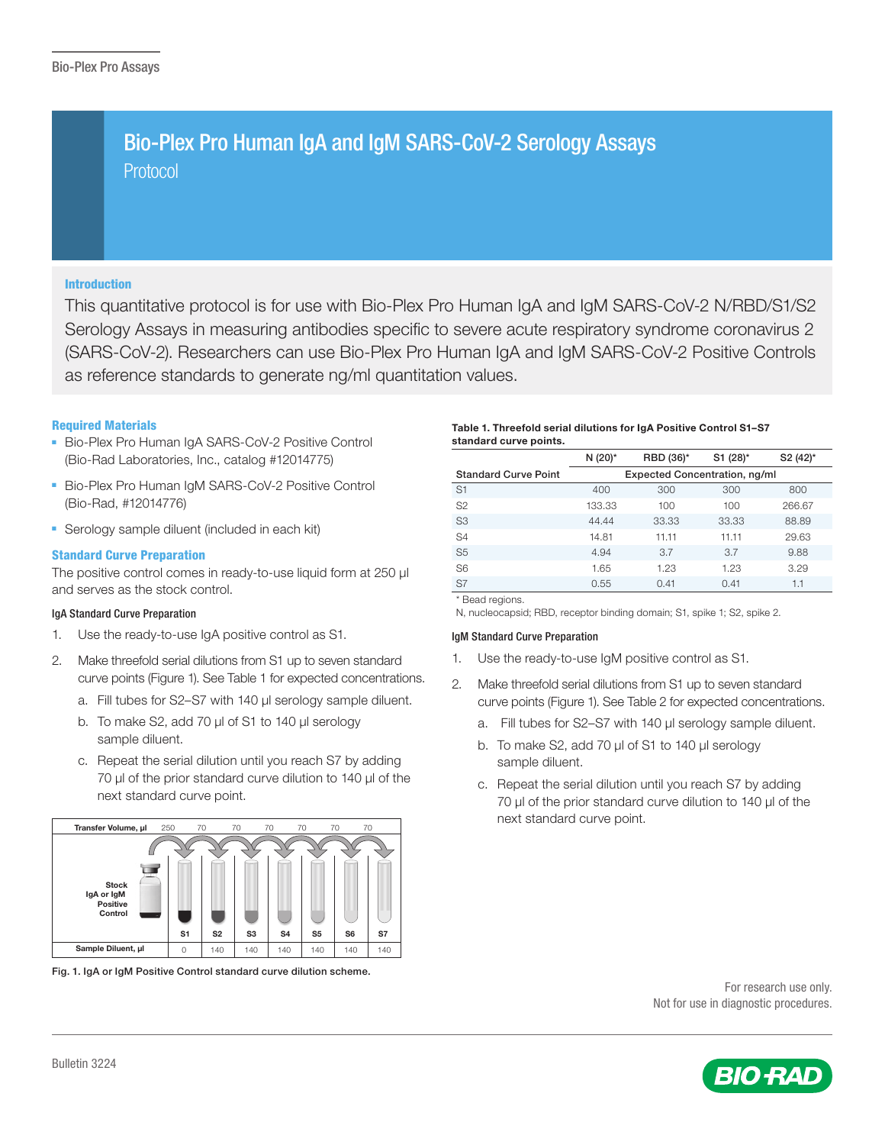# Protocol Bio-Plex Pro Human IgA and IgM SARS-CoV-2 Serology Assays

## Introduction

This quantitative protocol is for use with Bio-Plex Pro Human IgA and IgM SARS-CoV-2 N/RBD/S1/S2 Serology Assays in measuring antibodies specific to severe acute respiratory syndrome coronavirus 2 (SARS-CoV-2). Researchers can use Bio-Plex Pro Human IgA and IgM SARS-CoV-2 Positive Controls as reference standards to generate ng/ml quantitation values.

## Required Materials

- Bio-Plex Pro Human IgA SARS-CoV-2 Positive Control (Bio-Rad Laboratories, Inc., catalog #12014775)
- Bio-Plex Pro Human IgM SARS-CoV-2 Positive Control (Bio-Rad, #12014776)
- Serology sample diluent (included in each kit)

## Standard Curve Preparation

The positive control comes in ready-to-use liquid form at 250 μl and serves as the stock control.

#### IgA Standard Curve Preparation

- 1. Use the ready-to-use IgA positive control as S1.
- 2. Make threefold serial dilutions from S1 up to seven standard curve points (Figure 1). See Table 1 for expected concentrations.
	- a. Fill tubes for S2-S7 with 140 µl serology sample diluent.
	- b. To make S2, add 70 µl of S1 to 140 µl serology sample diluent.
	- c. Repeat the serial dilution until you reach S7 by adding 70 µl of the prior standard curve dilution to 140 µl of the next standard curve point.



Fig. 1. IgA or IgM Positive Control standard curve dilution scheme.

#### Table 1. Threefold serial dilutions for IgA Positive Control S1–S7 standard curve points.

|                             | N (20)*                              | RBD (36)* | S1 (28)* | S <sub>2</sub> (42) <sup>*</sup> |  |
|-----------------------------|--------------------------------------|-----------|----------|----------------------------------|--|
| <b>Standard Curve Point</b> | <b>Expected Concentration, ng/ml</b> |           |          |                                  |  |
| S <sub>1</sub>              | 400                                  | 300       | 300      | 800                              |  |
| S <sub>2</sub>              | 133.33                               | 100       | 100      | 266.67                           |  |
| S <sub>3</sub>              | 44.44                                | 33.33     | 33.33    | 88.89                            |  |
| S <sub>4</sub>              | 14.81                                | 11.11     | 11.11    | 29.63                            |  |
| S <sub>5</sub>              | 4.94                                 | 3.7       | 3.7      | 9.88                             |  |
| S <sub>6</sub>              | 1.65                                 | 1.23      | 1.23     | 3.29                             |  |
| S7                          | 0.55                                 | 0.41      | 0.41     | 1.1                              |  |

\* Bead regions.

N, nucleocapsid; RBD, receptor binding domain; S1, spike 1; S2, spike 2.

#### IgM Standard Curve Preparation

- 1. Use the ready-to-use IgM positive control as S1.
- 2. Make threefold serial dilutions from S1 up to seven standard curve points (Figure 1). See Table 2 for expected concentrations.
	- a. Fill tubes for S2-S7 with 140 µl serology sample diluent.
	- b. To make S2, add 70 µl of S1 to 140 µl serology sample diluent.
	- c. Repeat the serial dilution until you reach S7 by adding 70 µl of the prior standard curve dilution to 140 µl of the next standard curve point.



Not for use in diagnostic procedures.

For research use only.